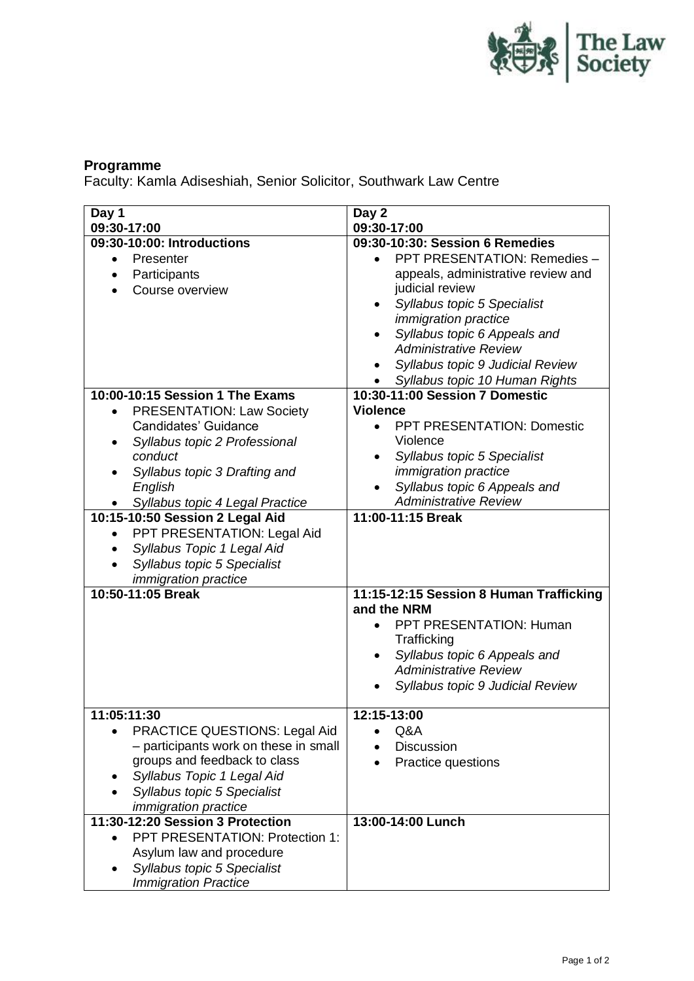

## **Programme**

Faculty: Kamla Adiseshiah, Senior Solicitor, Southwark Law Centre

| Day 1                                            | Day 2                                                  |
|--------------------------------------------------|--------------------------------------------------------|
| 09:30-17:00                                      | 09:30-17:00                                            |
| 09:30-10:00: Introductions                       | 09:30-10:30: Session 6 Remedies                        |
| Presenter<br>$\bullet$                           | PPT PRESENTATION: Remedies -                           |
| Participants                                     | appeals, administrative review and                     |
| Course overview                                  | judicial review                                        |
|                                                  | Syllabus topic 5 Specialist                            |
|                                                  | <i>immigration practice</i>                            |
|                                                  | Syllabus topic 6 Appeals and                           |
|                                                  | <b>Administrative Review</b>                           |
|                                                  | Syllabus topic 9 Judicial Review                       |
|                                                  | Syllabus topic 10 Human Rights                         |
| 10:00-10:15 Session 1 The Exams                  | 10:30-11:00 Session 7 Domestic                         |
| <b>PRESENTATION: Law Society</b><br>$\bullet$    | <b>Violence</b>                                        |
| Candidates' Guidance                             | <b>PPT PRESENTATION: Domestic</b>                      |
| Syllabus topic 2 Professional<br>$\bullet$       | Violence                                               |
| conduct                                          | Syllabus topic 5 Specialist                            |
| Syllabus topic 3 Drafting and                    | <i>immigration practice</i>                            |
| English                                          | Syllabus topic 6 Appeals and                           |
| Syllabus topic 4 Legal Practice                  | <b>Administrative Review</b>                           |
| 10:15-10:50 Session 2 Legal Aid                  | 11:00-11:15 Break                                      |
| PPT PRESENTATION: Legal Aid<br>$\bullet$         |                                                        |
| Syllabus Topic 1 Legal Aid                       |                                                        |
|                                                  |                                                        |
| Syllabus topic 5 Specialist                      |                                                        |
| <i>immigration practice</i><br>10:50-11:05 Break |                                                        |
|                                                  | 11:15-12:15 Session 8 Human Trafficking<br>and the NRM |
|                                                  | PPT PRESENTATION: Human                                |
|                                                  |                                                        |
|                                                  | Trafficking                                            |
|                                                  | Syllabus topic 6 Appeals and                           |
|                                                  | <b>Administrative Review</b>                           |
|                                                  | Syllabus topic 9 Judicial Review                       |
| 11:05:11:30                                      | 12:15-13:00                                            |
|                                                  |                                                        |
| <b>PRACTICE QUESTIONS: Legal Aid</b>             | Q&A                                                    |
| - participants work on these in small            | <b>Discussion</b>                                      |
| groups and feedback to class                     | Practice questions                                     |
| Syllabus Topic 1 Legal Aid                       |                                                        |
| Syllabus topic 5 Specialist                      |                                                        |
| <i>immigration practice</i>                      |                                                        |
| 11:30-12:20 Session 3 Protection                 | 13:00-14:00 Lunch                                      |
| PPT PRESENTATION: Protection 1:                  |                                                        |
| Asylum law and procedure                         |                                                        |
| Syllabus topic 5 Specialist                      |                                                        |
| <b>Immigration Practice</b>                      |                                                        |